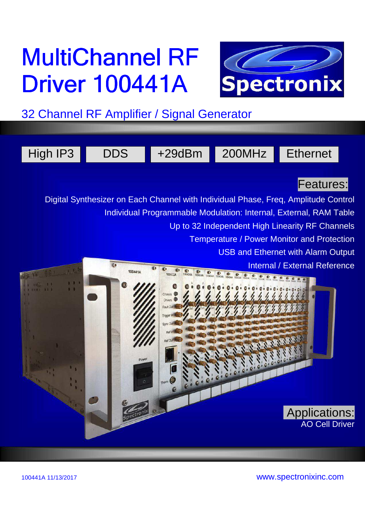# MultiChannel RF **Driver 100441A**



32 Channel RF Amplifier / Signal Generator